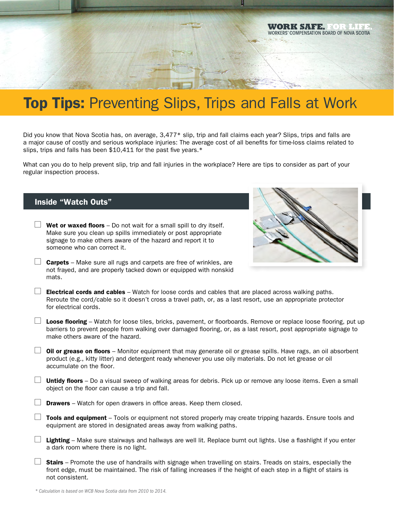# **Top Tips: Preventing Slips, Trips and Falls at Work**

Did you know that Nova Scotia has, on average, 3,477\* slip, trip and fall claims each year? Slips, trips and falls are a major cause of costly and serious workplace injuries: The average cost of all benefits for time-loss claims related to slips, trips and falls has been \$10,411 for the past five years.\*

What can you do to help prevent slip, trip and fall injuries in the workplace? Here are tips to consider as part of your regular inspection process.

## Inside "Watch Outs"

**Wet or waxed floors** – Do not wait for a small spill to dry itself. Make sure you clean up spills immediately or post appropriate signage to make others aware of the hazard and report it to someone who can correct it.



- $\Box$  **Carpets** Make sure all rugs and carpets are free of wrinkles, are not frayed, and are properly tacked down or equipped with nonskid mats.
- $\Box$  Electrical cords and cables Watch for loose cords and cables that are placed across walking paths. Reroute the cord/cable so it doesn't cross a travel path, or, as a last resort, use an appropriate protector for electrical cords.
	- Loose flooring Watch for loose tiles, bricks, pavement, or floorboards. Remove or replace loose flooring, put up barriers to prevent people from walking over damaged flooring, or, as a last resort, post appropriate signage to make others aware of the hazard.
- $\Box$  Oil or grease on floors Monitor equipment that may generate oil or grease spills. Have rags, an oil absorbent product (e.g., kitty litter) and detergent ready whenever you use oily materials. Do not let grease or oil accumulate on the floor.
- **Untidy floors** Do a visual sweep of walking areas for debris. Pick up or remove any loose items. Even a small object on the floor can cause a trip and fall.
- **Drawers** Watch for open drawers in office areas. Keep them closed.
- $\Box$  Tools and equipment Tools or equipment not stored properly may create tripping hazards. Ensure tools and equipment are stored in designated areas away from walking paths.
- **Lighting** Make sure stairways and hallways are well lit. Replace burnt out lights. Use a flashlight if you enter a dark room where there is no light.
- **Stairs** Promote the use of handrails with signage when travelling on stairs. Treads on stairs, especially the front edge, must be maintained. The risk of falling increases if the height of each step in a flight of stairs is not consistent.